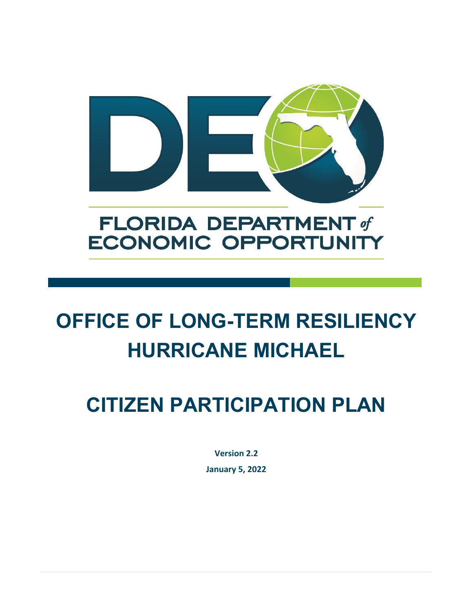

# **FLORIDA DEPARTMENT of ECONOMIC OPPORTUNITY**

# **OFFICE OF LONG-TERM RESILIENCY HURRICANE MICHAEL**

# **CITIZEN PARTICIPATION PLAN**

**Version 2.2 January 5, 2022**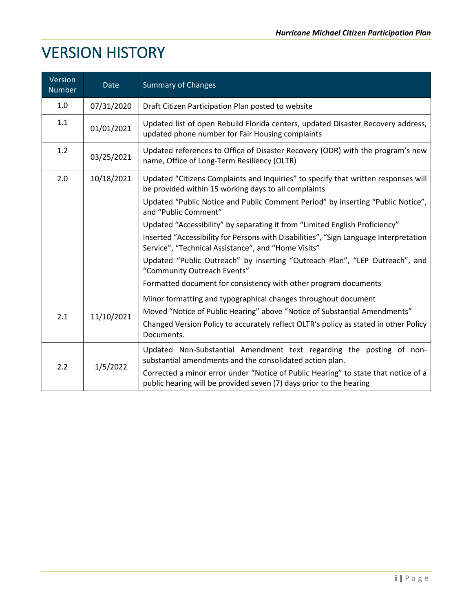# VERSION HISTORY

| Version<br><b>Number</b> | Date       | <b>Summary of Changes</b>                                                                                                                                                                                                                         |
|--------------------------|------------|---------------------------------------------------------------------------------------------------------------------------------------------------------------------------------------------------------------------------------------------------|
| 1.0                      | 07/31/2020 | Draft Citizen Participation Plan posted to website                                                                                                                                                                                                |
| 1.1                      | 01/01/2021 | Updated list of open Rebuild Florida centers, updated Disaster Recovery address,<br>updated phone number for Fair Housing complaints                                                                                                              |
| 1.2                      | 03/25/2021 | Updated references to Office of Disaster Recovery (ODR) with the program's new<br>name, Office of Long-Term Resiliency (OLTR)                                                                                                                     |
| 2.0                      | 10/18/2021 | Updated "Citizens Complaints and Inquiries" to specify that written responses will<br>be provided within 15 working days to all complaints                                                                                                        |
|                          |            | Updated "Public Notice and Public Comment Period" by inserting "Public Notice",<br>and "Public Comment"                                                                                                                                           |
|                          |            | Updated "Accessibility" by separating it from "Limited English Proficiency"                                                                                                                                                                       |
|                          |            | Inserted "Accessibility for Persons with Disabilities", "Sign Language Interpretation<br>Service", "Technical Assistance", and "Home Visits"                                                                                                      |
|                          |            | Updated "Public Outreach" by inserting "Outreach Plan", "LEP Outreach", and<br>"Community Outreach Events"                                                                                                                                        |
|                          |            | Formatted document for consistency with other program documents                                                                                                                                                                                   |
| 2.1                      | 11/10/2021 | Minor formatting and typographical changes throughout document<br>Moved "Notice of Public Hearing" above "Notice of Substantial Amendments"<br>Changed Version Policy to accurately reflect OLTR's policy as stated in other Policy<br>Documents. |
| 2.2                      | 1/5/2022   | Updated Non-Substantial Amendment text regarding the posting of non-<br>substantial amendments and the consolidated action plan.                                                                                                                  |
|                          |            | Corrected a minor error under "Notice of Public Hearing" to state that notice of a<br>public hearing will be provided seven (7) days prior to the hearing                                                                                         |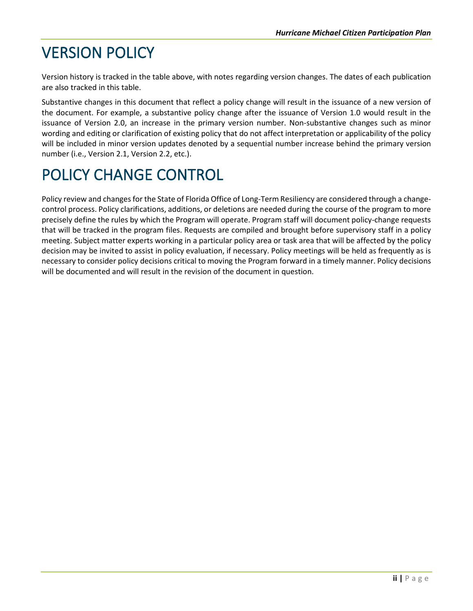# VERSION POLICY

Version history is tracked in the table above, with notes regarding version changes. The dates of each publication are also tracked in this table.

Substantive changes in this document that reflect a policy change will result in the issuance of a new version of the document. For example, a substantive policy change after the issuance of Version 1.0 would result in the issuance of Version 2.0, an increase in the primary version number. Non-substantive changes such as minor wording and editing or clarification of existing policy that do not affect interpretation or applicability of the policy will be included in minor version updates denoted by a sequential number increase behind the primary version number (i.e., Version 2.1, Version 2.2, etc.).

# POLICY CHANGE CONTROL

Policy review and changes for the State of Florida Office of Long-Term Resiliency are considered through a changecontrol process. Policy clarifications, additions, or deletions are needed during the course of the program to more precisely define the rules by which the Program will operate. Program staff will document policy-change requests that will be tracked in the program files. Requests are compiled and brought before supervisory staff in a policy meeting. Subject matter experts working in a particular policy area or task area that will be affected by the policy decision may be invited to assist in policy evaluation, if necessary. Policy meetings will be held as frequently as is necessary to consider policy decisions critical to moving the Program forward in a timely manner. Policy decisions will be documented and will result in the revision of the document in question.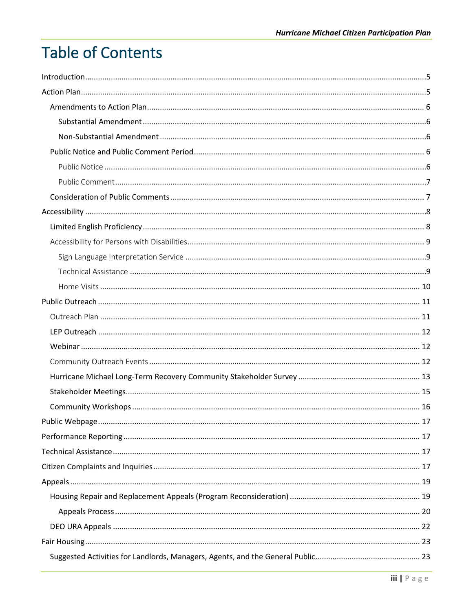# **Table of Contents**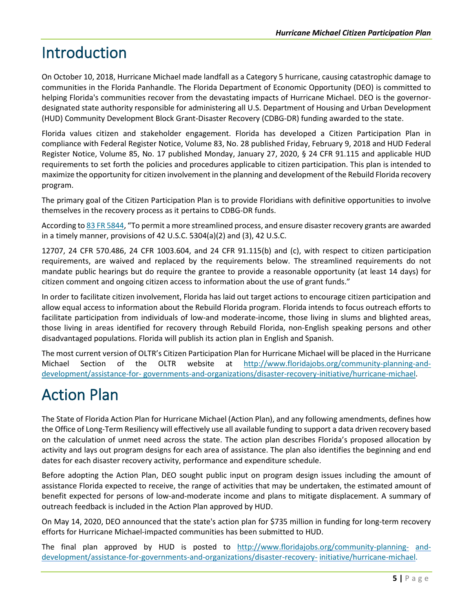# <span id="page-5-0"></span>Introduction

On October 10, 2018, Hurricane Michael made landfall as a Category 5 hurricane, causing catastrophic damage to communities in the Florida Panhandle. The Florida Department of Economic Opportunity (DEO) is committed to helping Florida's communities recover from the devastating impacts of Hurricane Michael. DEO is the governordesignated state authority responsible for administering all U.S. Department of Housing and Urban Development (HUD) Community Development Block Grant-Disaster Recovery (CDBG-DR) funding awarded to the state.

Florida values citizen and stakeholder engagement. Florida has developed a Citizen Participation Plan in compliance with Federal Register Notice, Volume 83, No. 28 published Friday, February 9, 2018 and HUD Federal Register Notice, Volume 85, No. 17 published Monday, January 27, 2020, § 24 CFR 91.115 and applicable HUD requirements to set forth the policies and procedures applicable to citizen participation. This plan is intended to maximize the opportunity for citizen involvement in the planning and development of the Rebuild Florida recovery program.

The primary goal of the Citizen Participation Plan is to provide Floridians with definitive opportunities to involve themselves in the recovery process as it pertains to CDBG-DR funds.

According t[o 83 FR 5844,](https://www.govinfo.gov/content/pkg/FR-2018-02-09/pdf/2018-02693.pdf) "To permit a more streamlined process, and ensure disaster recovery grants are awarded in a timely manner, provisions of 42 U.S.C. 5304(a)(2) and (3), 42 U.S.C.

12707, 24 CFR 570.486, 24 CFR 1003.604, and 24 CFR 91.115(b) and (c), with respect to citizen participation requirements, are waived and replaced by the requirements below. The streamlined requirements do not mandate public hearings but do require the grantee to provide a reasonable opportunity (at least 14 days) for citizen comment and ongoing citizen access to information about the use of grant funds."

In order to facilitate citizen involvement, Florida has laid out target actions to encourage citizen participation and allow equal access to information about the Rebuild Florida program. Florida intends to focus outreach efforts to facilitate participation from individuals of low-and moderate-income, those living in slums and blighted areas, those living in areas identified for recovery through Rebuild Florida, non-English speaking persons and other disadvantaged populations. Florida will publish its action plan in English and Spanish.

The most current version of OLTR's Citizen Participation Plan for Hurricane Michael will be placed in the Hurricane Michael Section of the OLTR website at [http://www.floridajobs.org/community-planning-and](http://www.floridajobs.org/community-planning-and-development/assistance-for-governments-and-organizations/disaster-recovery-initiative/hurricane-michael)[development/assistance-for-](http://www.floridajobs.org/community-planning-and-development/assistance-for-governments-and-organizations/disaster-recovery-initiative/hurricane-michael) [governments-and-organizations/disaster-recovery-initiative/hurricane-michael.](http://www.floridajobs.org/community-planning-and-development/assistance-for-governments-and-organizations/disaster-recovery-initiative/hurricane-michael)

### <span id="page-5-1"></span>Action Plan

The State of Florida Action Plan for Hurricane Michael (Action Plan), and any following amendments, defines how the Office of Long-Term Resiliency will effectively use all available funding to support a data driven recovery based on the calculation of unmet need across the state. The action plan describes Florida's proposed allocation by activity and lays out program designs for each area of assistance. The plan also identifies the beginning and end dates for each disaster recovery activity, performance and expenditure schedule.

Before adopting the Action Plan, DEO sought public input on program design issues including the amount of assistance Florida expected to receive, the range of activities that may be undertaken, the estimated amount of benefit expected for persons of low-and-moderate income and plans to mitigate displacement. A summary of outreach feedback is included in the Action Plan approved by HUD.

On May 14, 2020, DEO announced that the state's action plan for \$735 million in funding for long-term recovery efforts for Hurricane Michael-impacted communities has been submitted to HUD.

The final plan approved by HUD is posted to [http://www.floridajobs.org/community-planning-](http://www.floridajobs.org/community-planning-and-development/assistance-for-governments-and-organizations/disaster-recovery-initiative/hurricane-michael) [and](http://www.floridajobs.org/community-planning-and-development/assistance-for-governments-and-organizations/disaster-recovery-initiative/hurricane-michael)[development/assistance-for-governments-and-organizations/disaster-recovery-](http://www.floridajobs.org/community-planning-and-development/assistance-for-governments-and-organizations/disaster-recovery-initiative/hurricane-michael) [initiative/hurricane-michael.](http://www.floridajobs.org/community-planning-and-development/assistance-for-governments-and-organizations/disaster-recovery-initiative/hurricane-michael)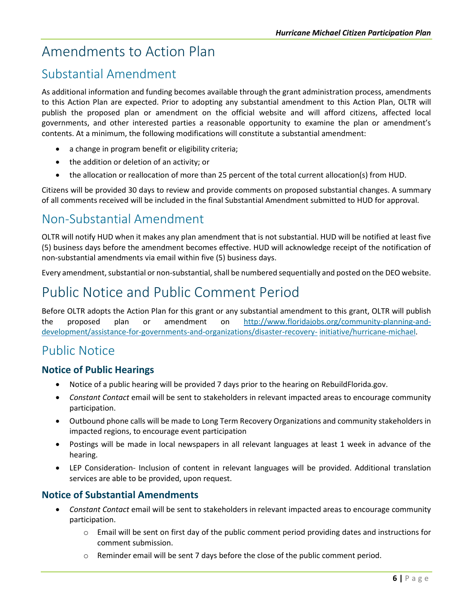### <span id="page-6-0"></span>Amendments to Action Plan

### <span id="page-6-1"></span>Substantial Amendment

As additional information and funding becomes available through the grant administration process, amendments to this Action Plan are expected. Prior to adopting any substantial amendment to this Action Plan, OLTR will publish the proposed plan or amendment on the official website and will afford citizens, affected local governments, and other interested parties a reasonable opportunity to examine the plan or amendment's contents. At a minimum, the following modifications will constitute a substantial amendment:

- a change in program benefit or eligibility criteria;
- the addition or deletion of an activity; or
- the allocation or reallocation of more than 25 percent of the total current allocation(s) from HUD.

Citizens will be provided 30 days to review and provide comments on proposed substantial changes. A summary of all comments received will be included in the final Substantial Amendment submitted to HUD for approval.

### <span id="page-6-2"></span>Non-Substantial Amendment

OLTR will notify HUD when it makes any plan amendment that is not substantial. HUD will be notified at least five (5) business days before the amendment becomes effective. HUD will acknowledge receipt of the notification of non-substantial amendments via email within five (5) business days.

Every amendment, substantial or non-substantial, shall be numbered sequentially and posted on the DEO website.

### <span id="page-6-3"></span>Public Notice and Public Comment Period

Before OLTR adopts the Action Plan for this grant or any substantial amendment to this grant, OLTR will publish the proposed plan or amendment on [http://www.floridajobs.org/community-planning-and](http://www.floridajobs.org/community-planning-and-development/assistance-for-governments-and-organizations/disaster-recovery-initiative/hurricane-michael)[development/assistance-for-governments-and-organizations/disaster-recovery-](http://www.floridajobs.org/community-planning-and-development/assistance-for-governments-and-organizations/disaster-recovery-initiative/hurricane-michael) [initiative/hurricane-michael.](http://www.floridajobs.org/community-planning-and-development/assistance-for-governments-and-organizations/disaster-recovery-initiative/hurricane-michael)

### <span id="page-6-4"></span>Public Notice

#### **Notice of Public Hearings**

- Notice of a public hearing will be provided 7 days prior to the hearing on RebuildFlorida.gov.
- *Constant Contact* email will be sent to stakeholders in relevant impacted areas to encourage community participation.
- Outbound phone calls will be made to Long Term Recovery Organizations and community stakeholders in impacted regions, to encourage event participation
- Postings will be made in local newspapers in all relevant languages at least 1 week in advance of the hearing.
- LEP Consideration- Inclusion of content in relevant languages will be provided. Additional translation services are able to be provided, upon request.

#### **Notice of Substantial Amendments**

- *Constant Contact* email will be sent to stakeholders in relevant impacted areas to encourage community participation.
	- $\circ$  Email will be sent on first day of the public comment period providing dates and instructions for comment submission.
	- $\circ$  Reminder email will be sent 7 days before the close of the public comment period.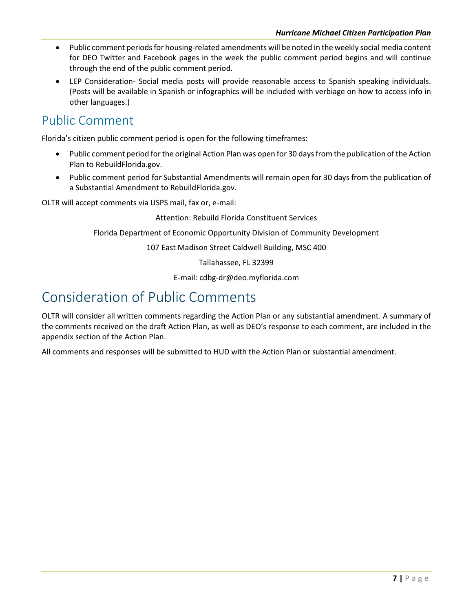- Public comment periods for housing-related amendments will be noted in the weekly social media content for DEO Twitter and Facebook pages in the week the public comment period begins and will continue through the end of the public comment period.
- LEP Consideration- Social media posts will provide reasonable access to Spanish speaking individuals. (Posts will be available in Spanish or infographics will be included with verbiage on how to access info in other languages.)

### <span id="page-7-0"></span>Public Comment

Florida's citizen public comment period is open for the following timeframes:

- Public comment period for the original Action Plan was open for 30 days from the publication of the Action Plan to RebuildFlorida.gov.
- Public comment period for Substantial Amendments will remain open for 30 days from the publication of a Substantial Amendment to RebuildFlorida.gov.

OLTR will accept comments via USPS mail, fax or, e-mail:

Attention: Rebuild Florida Constituent Services

Florida Department of Economic Opportunity Division of Community Development

107 East Madison Street Caldwell Building, MSC 400

Tallahassee, FL 32399

E-mail: [cdbg-dr@deo.myflorida.com](mailto:cdbg-dr@deo.myflorida.com)

### <span id="page-7-1"></span>Consideration of Public Comments

OLTR will consider all written comments regarding the Action Plan or any substantial amendment. A summary of the comments received on the draft Action Plan, as well as DEO's response to each comment, are included in the appendix section of the Action Plan.

All comments and responses will be submitted to HUD with the Action Plan or substantial amendment.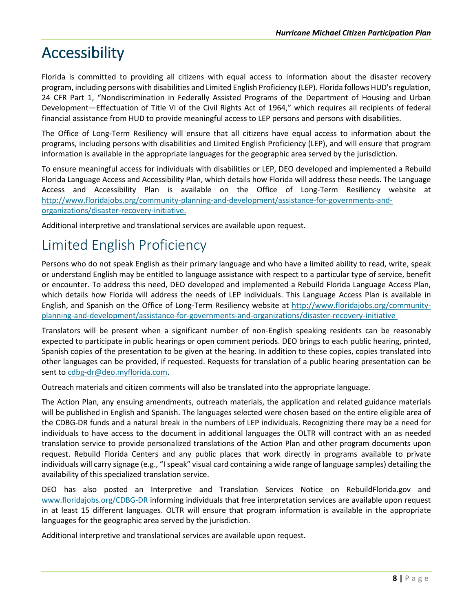# <span id="page-8-0"></span>Accessibility

Florida is committed to providing all citizens with equal access to information about the disaster recovery program, including persons with disabilities and Limited English Proficiency (LEP). Florida follows HUD's regulation, 24 CFR Part 1, "Nondiscrimination in Federally Assisted Programs of the Department of Housing and Urban Development—Effectuation of Title VI of the Civil Rights Act of 1964," which requires all recipients of federal financial assistance from HUD to provide meaningful access to LEP persons and persons with disabilities.

The Office of Long-Term Resiliency will ensure that all citizens have equal access to information about the programs, including persons with disabilities and Limited English Proficiency (LEP), and will ensure that program information is available in the appropriate languages for the geographic area served by the jurisdiction.

To ensure meaningful access for individuals with disabilities or LEP, DEO developed and implemented a Rebuild Florida Language Access and Accessibility Plan, which details how Florida will address these needs. The Language Access and Accessibility Plan is available on the Office of Long-Term Resiliency website at [http://www.floridajobs.org/community-planning-and-development/assistance-for-governments-and](http://www.floridajobs.org/community-planning-and-development/assistance-for-governments-and-organizations/disaster-recovery-initiative)[organizations/disaster-recovery-initiative.](http://www.floridajobs.org/community-planning-and-development/assistance-for-governments-and-organizations/disaster-recovery-initiative)

Additional interpretive and translational services are available upon request.

### <span id="page-8-1"></span>Limited English Proficiency

Persons who do not speak English as their primary language and who have a limited ability to read, write, speak or understand English may be entitled to language assistance with respect to a particular type of service, benefit or encounter. To address this need, DEO developed and implemented a Rebuild Florida Language Access Plan, which details how Florida will address the needs of LEP individuals. This Language Access Plan is available in English, and Spanish on the Office of Long-Term Resiliency website at [http://www.floridajobs.org/community](http://www.floridajobs.org/community-planning-and-development/assistance-for-governments-and-organizations/disaster-recovery-initiative)[planning-and-development/assistance-for-governments-and-organizations/disaster-recovery-initiative](http://www.floridajobs.org/community-planning-and-development/assistance-for-governments-and-organizations/disaster-recovery-initiative)

Translators will be present when a significant number of non-English speaking residents can be reasonably expected to participate in public hearings or open comment periods. DEO brings to each public hearing, printed, Spanish copies of the presentation to be given at the hearing. In addition to these copies, copies translated into other languages can be provided, if requested. Requests for translation of a public hearing presentation can be sent t[o cdbg-dr@deo.myflorida.com.](mailto:cdbg-dr@deo.myflorida.com)

Outreach materials and citizen comments will also be translated into the appropriate language.

The Action Plan, any ensuing amendments, outreach materials, the application and related guidance materials will be published in English and Spanish. The languages selected were chosen based on the entire eligible area of the CDBG-DR funds and a natural break in the numbers of LEP individuals. Recognizing there may be a need for individuals to have access to the document in additional languages the OLTR will contract with an as needed translation service to provide personalized translations of the Action Plan and other program documents upon request. Rebuild Florida Centers and any public places that work directly in programs available to private individuals will carry signage (e.g., "I speak" visual card containing a wide range of language samples) detailing the availability of this specialized translation service.

DEO has also posted an Interpretive and Translation Services Notice on RebuildFlorida.gov and [www.floridajobs.org/CDBG-DR](http://www.floridajobs.org/CDBG-DR) informing individuals that free interpretation services are available upon request in at least 15 different languages. OLTR will ensure that program information is available in the appropriate languages for the geographic area served by the jurisdiction.

Additional interpretive and translational services are available upon request.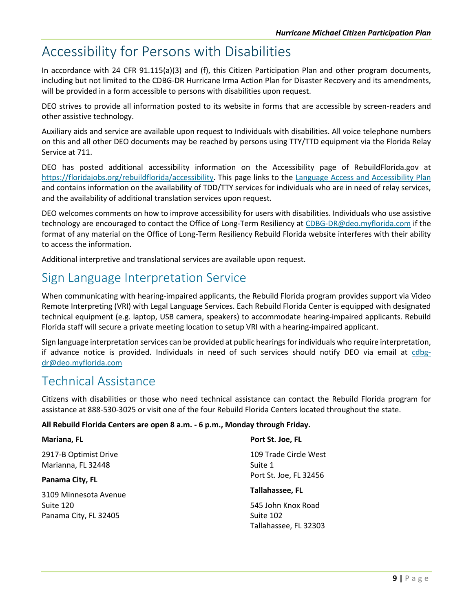### <span id="page-9-0"></span>Accessibility for Persons with Disabilities

In accordance with 24 CFR 91.115(a)(3) and (f), this Citizen Participation Plan and other program documents, including but not limited to the CDBG-DR Hurricane Irma Action Plan for Disaster Recovery and its amendments, will be provided in a form accessible to persons with disabilities upon request.

DEO strives to provide all information posted to its website in forms that are accessible by screen-readers and other assistive technology.

Auxiliary aids and service are available upon request to Individuals with disabilities. All voice telephone numbers on this and all other DEO documents may be reached by persons using TTY/TTD equipment via the Florida Relay Service at 711.

DEO has posted additional accessibility information on the Accessibility page of RebuildFlorida.gov at [https://floridajobs.org/rebuildflorida/accessibility.](https://floridajobs.org/rebuildflorida/accessibility) This page links to the [Language Access and Accessibility Plan](https://www.floridajobs.org/docs/default-source/office-of-disaster-recovery/office-of-disaster-recovery-main-page/language-access-plan.pdf?sfvrsn=58b94cb0_0) and contains information on the availability of TDD/TTY services for individuals who are in need of relay services, and the availability of additional translation services upon request.

DEO welcomes comments on how to improve accessibility for users with disabilities. Individuals who use assistive technology are encouraged to contact the Office of Long-Term Resiliency a[t CDBG-DR@deo.myflorida.com](mailto:CDBG-DR@deo.myflorida.com) if the format of any material on the Office of Long-Term Resiliency Rebuild Florida website interferes with their ability to access the information.

Additional interpretive and translational services are available upon request.

### <span id="page-9-1"></span>Sign Language Interpretation Service

When communicating with hearing-impaired applicants, the Rebuild Florida program provides support via Video Remote Interpreting (VRI) with Legal Language Services. Each Rebuild Florida Center is equipped with designated technical equipment (e.g. laptop, USB camera, speakers) to accommodate hearing-impaired applicants. Rebuild Florida staff will secure a private meeting location to setup VRI with a hearing-impaired applicant.

Sign language interpretation services can be provided at public hearings for individuals who require interpretation, if advance notice is provided. Individuals in need of such services should notify DEO via email at [cdbg](mailto:cdbg-dr@deo.myflorida.com)[dr@deo.myflorida.com](mailto:cdbg-dr@deo.myflorida.com)

### <span id="page-9-2"></span>Technical Assistance

Citizens with disabilities or those who need technical assistance can contact the Rebuild Florida program for assistance at 888-530-3025 or visit one of the four Rebuild Florida Centers located throughout the state.

#### **All Rebuild Florida Centers are open 8 a.m. - 6 p.m., Monday through Friday.**

| Mariana, FL                                 | Port St. Joe, FL                 |
|---------------------------------------------|----------------------------------|
| 2917-B Optimist Drive<br>Marianna, FL 32448 | 109 Trade Circle West<br>Suite 1 |
| Panama City, FL                             | Port St. Joe, FL 32456           |
| 3109 Minnesota Avenue                       | <b>Tallahassee, FL</b>           |
| Suite 120                                   | 545 John Knox Road               |
| Panama City, FL 32405                       | Suite 102                        |
|                                             | Tallahassee, FL 32303            |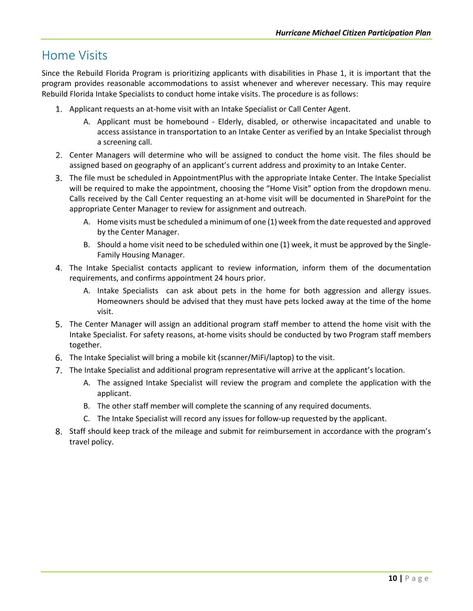### <span id="page-10-0"></span>Home Visits

Since the Rebuild Florida Program is prioritizing applicants with disabilities in Phase 1, it is important that the program provides reasonable accommodations to assist whenever and wherever necessary. This may require Rebuild Florida Intake Specialists to conduct home intake visits. The procedure is as follows:

- Applicant requests an at-home visit with an Intake Specialist or Call Center Agent.
	- A. Applicant must be homebound Elderly, disabled, or otherwise incapacitated and unable to access assistance in transportation to an Intake Center as verified by an Intake Specialist through a screening call.
- Center Managers will determine who will be assigned to conduct the home visit. The files should be assigned based on geography of an applicant's current address and proximity to an Intake Center.
- The file must be scheduled in AppointmentPlus with the appropriate Intake Center. The Intake Specialist will be required to make the appointment, choosing the "Home Visit" option from the dropdown menu. Calls received by the Call Center requesting an at-home visit will be documented in SharePoint for the appropriate Center Manager to review for assignment and outreach.
	- A. Home visits must be scheduled a minimum of one (1) week from the date requested and approved by the Center Manager.
	- B. Should a home visit need to be scheduled within one (1) week, it must be approved by the Single-Family Housing Manager.
- The Intake Specialist contacts applicant to review information, inform them of the documentation requirements, and confirms appointment 24 hours prior.
	- A. Intake Specialists can ask about pets in the home for both aggression and allergy issues. Homeowners should be advised that they must have pets locked away at the time of the home visit.
- The Center Manager will assign an additional program staff member to attend the home visit with the Intake Specialist. For safety reasons, at-home visits should be conducted by two Program staff members together.
- The Intake Specialist will bring a mobile kit (scanner/MiFi/laptop) to the visit.
- The Intake Specialist and additional program representative will arrive at the applicant's location.
	- A. The assigned Intake Specialist will review the program and complete the application with the applicant.
	- B. The other staff member will complete the scanning of any required documents.
	- C. The Intake Specialist will record any issues for follow-up requested by the applicant.
- Staff should keep track of the mileage and submit for reimbursement in accordance with the program's travel policy.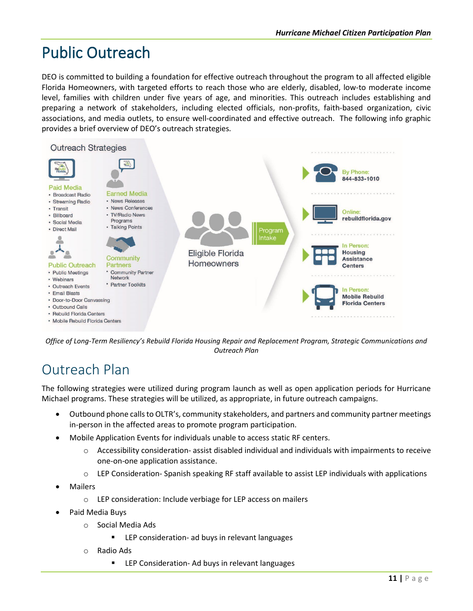# <span id="page-11-0"></span>Public Outreach

DEO is committed to building a foundation for effective outreach throughout the program to all affected eligible Florida Homeowners, with targeted efforts to reach those who are elderly, disabled, low-to moderate income level, families with children under five years of age, and minorities. This outreach includes establishing and preparing a network of stakeholders, including elected officials, non-profits, faith-based organization, civic associations, and media outlets, to ensure well-coordinated and effective outreach. The following info graphic provides a brief overview of DEO's outreach strategies.



*Office of Long-Term Resiliency's Rebuild Florida Housing Repair and Replacement Program, Strategic Communications and Outreach Plan*

### <span id="page-11-1"></span>Outreach Plan

The following strategies were utilized during program launch as well as open application periods for Hurricane Michael programs. These strategies will be utilized, as appropriate, in future outreach campaigns.

- Outbound phone calls to OLTR's, community stakeholders, and partners and community partner meetings in-person in the affected areas to promote program participation.
- Mobile Application Events for individuals unable to access static RF centers.
	- $\circ$  Accessibility consideration- assist disabled individual and individuals with impairments to receive one-on-one application assistance.
	- o LEP Consideration- Spanish speaking RF staff available to assist LEP individuals with applications
- **Mailers** 
	- o LEP consideration: Include verbiage for LEP access on mailers
- Paid Media Buys
	- o Social Media Ads
		- **EXTEP** consideration- ad buys in relevant languages
	- o Radio Ads
		- **EXECONS LEP Consideration- Ad buys in relevant languages**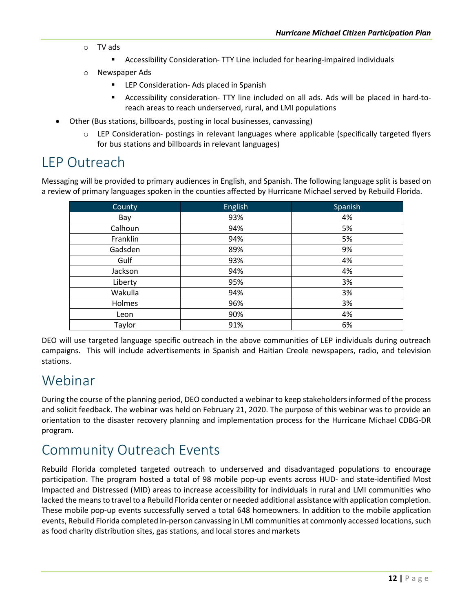- o TV ads
	- **EXP** Accessibility Consideration- TTY Line included for hearing-impaired individuals
- o Newspaper Ads
	- **EXTER Consideration- Ads placed in Spanish**
	- Accessibility consideration- TTY line included on all ads. Ads will be placed in hard-toreach areas to reach underserved, rural, and LMI populations
- Other (Bus stations, billboards, posting in local businesses, canvassing)
	- $\circ$  LEP Consideration- postings in relevant languages where applicable (specifically targeted flyers for bus stations and billboards in relevant languages)

### <span id="page-12-0"></span>LEP Outreach

Messaging will be provided to primary audiences in English, and Spanish. The following language split is based on a review of primary languages spoken in the counties affected by Hurricane Michael served by Rebuild Florida.

| County   | <b>English</b> | Spanish |
|----------|----------------|---------|
| Bay      | 93%            | 4%      |
| Calhoun  | 94%            | 5%      |
| Franklin | 94%            | 5%      |
| Gadsden  | 89%            | 9%      |
| Gulf     | 93%            | 4%      |
| Jackson  | 94%            | 4%      |
| Liberty  | 95%            | 3%      |
| Wakulla  | 94%            | 3%      |
| Holmes   | 96%            | 3%      |
| Leon     | 90%            | 4%      |
| Taylor   | 91%            | 6%      |

DEO will use targeted language specific outreach in the above communities of LEP individuals during outreach campaigns. This will include advertisements in Spanish and Haitian Creole newspapers, radio, and television stations.

### <span id="page-12-1"></span>Webinar

During the course of the planning period, DEO conducted a webinar to keep stakeholders informed of the process and solicit feedback. The webinar was held on February 21, 2020. The purpose of this webinar was to provide an orientation to the disaster recovery planning and implementation process for the Hurricane Michael CDBG-DR program.

### <span id="page-12-2"></span>Community Outreach Events

Rebuild Florida completed targeted outreach to underserved and disadvantaged populations to encourage participation. The program hosted a total of 98 mobile pop-up events across HUD- and state-identified Most Impacted and Distressed (MID) areas to increase accessibility for individuals in rural and LMI communities who lacked the means to travel to a Rebuild Florida center or needed additional assistance with application completion. These mobile pop-up events successfully served a total 648 homeowners. In addition to the mobile application events, Rebuild Florida completed in-person canvassing in LMI communities at commonly accessed locations, such as food charity distribution sites, gas stations, and local stores and markets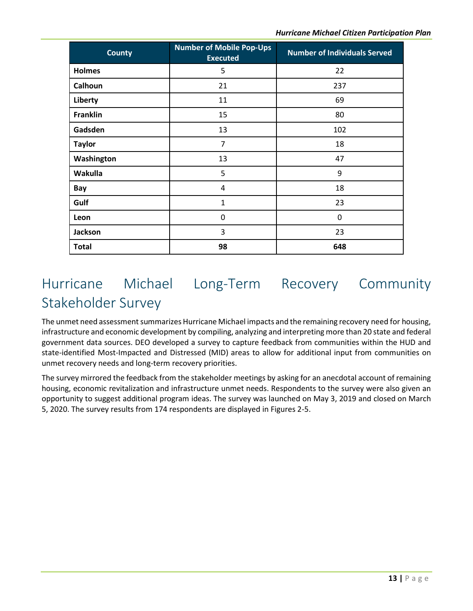| <b>County</b>   | <b>Number of Mobile Pop-Ups</b><br><b>Executed</b> | <b>Number of Individuals Served</b> |  |  |
|-----------------|----------------------------------------------------|-------------------------------------|--|--|
| <b>Holmes</b>   | 5                                                  | 22                                  |  |  |
| Calhoun         | 21                                                 | 237                                 |  |  |
| Liberty         | 11                                                 | 69                                  |  |  |
| <b>Franklin</b> | 15                                                 | 80                                  |  |  |
| Gadsden         | 13                                                 | 102                                 |  |  |
| <b>Taylor</b>   | 7                                                  | 18                                  |  |  |
| Washington      | 13                                                 | 47                                  |  |  |
| Wakulla         | 5                                                  | 9                                   |  |  |
| Bay             | 4                                                  | 18                                  |  |  |
| Gulf            | $\mathbf{1}$                                       | 23                                  |  |  |
| Leon            | 0                                                  | $\mathbf 0$                         |  |  |
| <b>Jackson</b>  | 3                                                  | 23                                  |  |  |
| <b>Total</b>    | 98                                                 | 648                                 |  |  |

### <span id="page-13-0"></span>Hurricane Michael Long-Term Recovery Community Stakeholder Survey

The unmet need assessment summarizes Hurricane Michael impacts and the remaining recovery need for housing, infrastructure and economic development by compiling, analyzing and interpreting more than 20 state and federal government data sources. DEO developed a survey to capture feedback from communities within the HUD and state-identified Most-Impacted and Distressed (MID) areas to allow for additional input from communities on unmet recovery needs and long-term recovery priorities.

The survey mirrored the feedback from the stakeholder meetings by asking for an anecdotal account of remaining housing, economic revitalization and infrastructure unmet needs. Respondents to the survey were also given an opportunity to suggest additional program ideas. The survey was launched on May 3, 2019 and closed on March 5, 2020. The survey results from 174 respondents are displayed in Figures 2-5.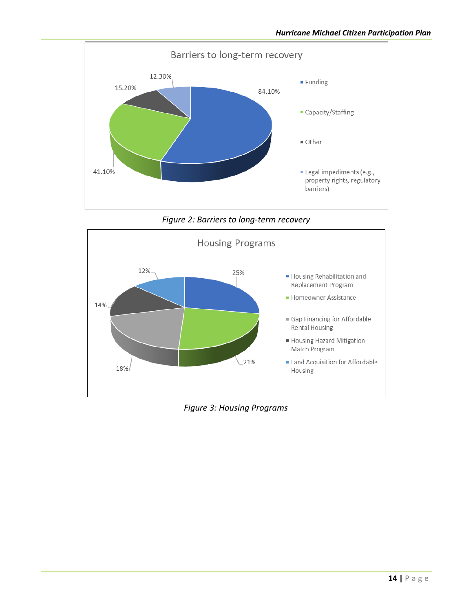

*Figure 2: Barriers to long-term recovery*



*Figure 3: Housing Programs*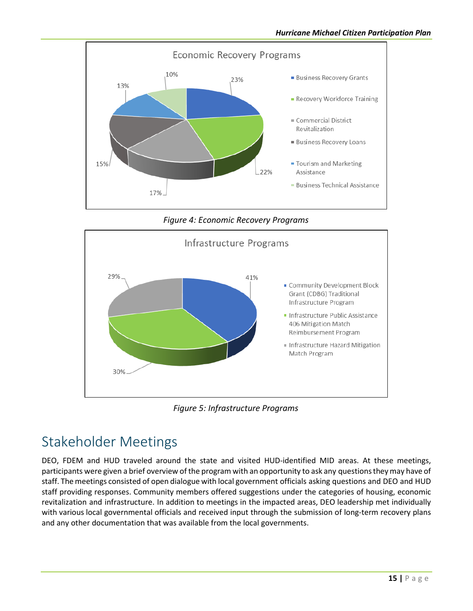

*Figure 4: Economic Recovery Programs*



*Figure 5: Infrastructure Programs*

### <span id="page-15-0"></span>Stakeholder Meetings

DEO, FDEM and HUD traveled around the state and visited HUD-identified MID areas. At these meetings, participants were given a brief overview of the program with an opportunity to ask any questionstheymay have of staff. The meetings consisted of open dialogue with local government officials asking questions and DEO and HUD staff providing responses. Community members offered suggestions under the categories of housing, economic revitalization and infrastructure. In addition to meetings in the impacted areas, DEO leadership met individually with various local governmental officials and received input through the submission of long-term recovery plans and any other documentation that was available from the local governments.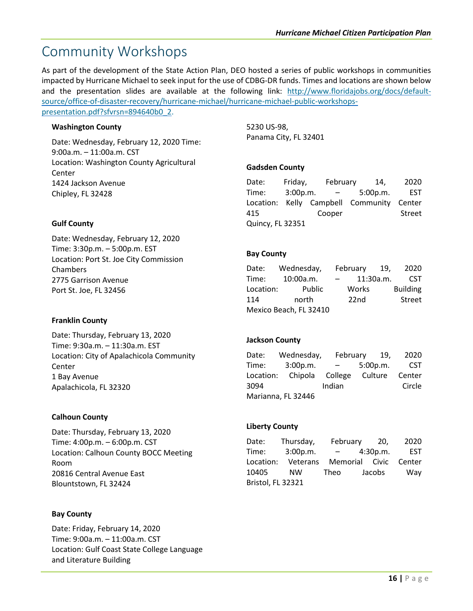### <span id="page-16-0"></span>Community Workshops

As part of the development of the State Action Plan, DEO hosted a series of public workshops in communities impacted by Hurricane Michael to seek input for the use of CDBG-DR funds. Times and locations are shown below and the presentation slides are available at the following link: [http://www.floridajobs.org/docs/default](http://www.floridajobs.org/docs/default-source/office-of-disaster-recovery/hurricane-michael/hurricane-michael-public-workshops-presentation.pdf?sfvrsn=894640b0_2)[source/office-of-disaster-recovery/hurricane-michael/hurricane-michael-public-workshops](http://www.floridajobs.org/docs/default-source/office-of-disaster-recovery/hurricane-michael/hurricane-michael-public-workshops-presentation.pdf?sfvrsn=894640b0_2)[presentation.pdf?sfvrsn=894640b0\\_2.](http://www.floridajobs.org/docs/default-source/office-of-disaster-recovery/hurricane-michael/hurricane-michael-public-workshops-presentation.pdf?sfvrsn=894640b0_2)

#### **Washington County**

Date: Wednesday, February 12, 2020 Time: 9:00a.m. – 11:00a.m. CST Location: Washington County Agricultural Center 1424 Jackson Avenue Chipley, FL 32428

5230 US-98, Panama City, FL 32401

#### **Gadsden County**

Date: Friday, February 14, 2020 Time: 3:00p.m. – 5:00p.m. EST Location: Kelly Campbell Community Center 415 Cooper Street Quincy, FL 32351

### **Gulf County**

Date: Wednesday, February 12, 2020 Time: 3:30p.m. – 5:00p.m. EST Location: Port St. Joe City Commission Chambers 2775 Garrison Avenue Port St. Joe, FL 32456

#### **Franklin County**

Date: Thursday, February 13, 2020 Time: 9:30a.m. – 11:30a.m. EST Location: City of Apalachicola Community Center 1 Bay Avenue Apalachicola, FL 32320

#### **Calhoun County**

Date: Thursday, February 13, 2020 Time: 4:00p.m. – 6:00p.m. CST Location: Calhoun County BOCC Meeting Room 20816 Central Avenue East Blountstown, FL 32424

#### **Bay County**

Date: Friday, February 14, 2020 Time: 9:00a.m. – 11:00a.m. CST Location: Gulf Coast State College Language and Literature Building

#### **Bay County**

| Date:                  | Wednesday, |            | February 19,     |           | 2020            |
|------------------------|------------|------------|------------------|-----------|-----------------|
| Time:                  | 10:00a.m.  | $\sim$ $-$ |                  | 11:30a.m. | <b>CST</b>      |
| Location:              | Public     |            | Works            |           | <b>Building</b> |
| 114                    | north      |            | 22 <sub>nd</sub> |           | Street          |
| Mexico Beach, FL 32410 |            |            |                  |           |                 |

#### **Jackson County**

Date: Wednesday, February 19, 2020 Time: 3:00p.m. – 5:00p.m. CST Location: Chipola College Culture Center 3094 Indian Circle Marianna, FL 32446

#### **Liberty County**

| Date:             | Thursday,                                | February 20, |          |  | 2020       |
|-------------------|------------------------------------------|--------------|----------|--|------------|
| Time:             | 3:00p.m.                                 | $\sim$ $ -$  | 4:30p.m. |  | <b>EST</b> |
|                   | Location: Veterans Memorial Civic Center |              |          |  |            |
| 10405             | NW.                                      | Theo         | Jacobs   |  | Way        |
| Bristol, FL 32321 |                                          |              |          |  |            |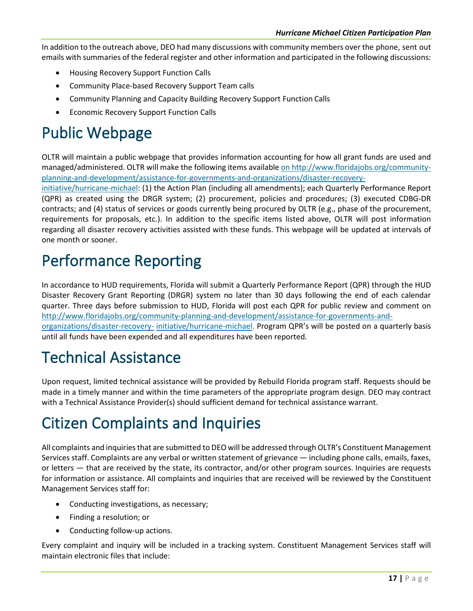In addition to the outreach above, DEO had many discussions with community members over the phone, sent out emails with summaries of the federal register and other information and participated in the following discussions:

- Housing Recovery Support Function Calls
- Community Place-based Recovery Support Team calls
- Community Planning and Capacity Building Recovery Support Function Calls
- Economic Recovery Support Function Calls

# <span id="page-17-0"></span>Public Webpage

OLTR will maintain a public webpage that provides information accounting for how all grant funds are used and managed/administered. OLTR will make the following items available o[n http://www.floridajobs.org/community](http://www.floridajobs.org/community-planning-and-development/assistance-for-governments-and-organizations/disaster-recovery-initiative/hurricane-michael)[planning-and-development/assistance-for-governments-and-organizations/disaster-recovery-](http://www.floridajobs.org/community-planning-and-development/assistance-for-governments-and-organizations/disaster-recovery-initiative/hurricane-michael)

[initiative/hurricane-michael:](http://www.floridajobs.org/community-planning-and-development/assistance-for-governments-and-organizations/disaster-recovery-initiative/hurricane-michael) (1) the Action Plan (including all amendments); each Quarterly Performance Report (QPR) as created using the DRGR system; (2) procurement, policies and procedures; (3) executed CDBG-DR contracts; and (4) status of services or goods currently being procured by OLTR (e.g., phase of the procurement, requirements for proposals, etc.). In addition to the specific items listed above, OLTR will post information regarding all disaster recovery activities assisted with these funds. This webpage will be updated at intervals of one month or sooner.

### <span id="page-17-1"></span>Performance Reporting

In accordance to HUD requirements, Florida will submit a Quarterly Performance Report (QPR) through the HUD Disaster Recovery Grant Reporting (DRGR) system no later than 30 days following the end of each calendar quarter. Three days before submission to HUD, Florida will post each QPR for public review and comment on [http://www.floridajobs.org/community-planning-and-development/assistance-for-governments-and](http://www.floridajobs.org/community-planning-and-development/assistance-for-governments-and-organizations/disaster-recovery-initiative/hurricane-michael)[organizations/disaster-recovery-](http://www.floridajobs.org/community-planning-and-development/assistance-for-governments-and-organizations/disaster-recovery-initiative/hurricane-michael) [initiative/hurricane-michael.](http://www.floridajobs.org/community-planning-and-development/assistance-for-governments-and-organizations/disaster-recovery-initiative/hurricane-michael) Program QPR's will be posted on a quarterly basis until all funds have been expended and all expenditures have been reported.

# <span id="page-17-2"></span>Technical Assistance

Upon request, limited technical assistance will be provided by Rebuild Florida program staff. Requests should be made in a timely manner and within the time parameters of the appropriate program design. DEO may contract with a Technical Assistance Provider(s) should sufficient demand for technical assistance warrant.

# <span id="page-17-3"></span>Citizen Complaints and Inquiries

All complaints and inquiries that are submitted to DEO will be addressed through OLTR's Constituent Management Services staff. Complaints are any verbal or written statement of grievance — including phone calls, emails, faxes, or letters — that are received by the state, its contractor, and/or other program sources. Inquiries are requests for information or assistance. All complaints and inquiries that are received will be reviewed by the Constituent Management Services staff for:

- Conducting investigations, as necessary;
- Finding a resolution; or
- Conducting follow-up actions.

Every complaint and inquiry will be included in a tracking system. Constituent Management Services staff will maintain electronic files that include: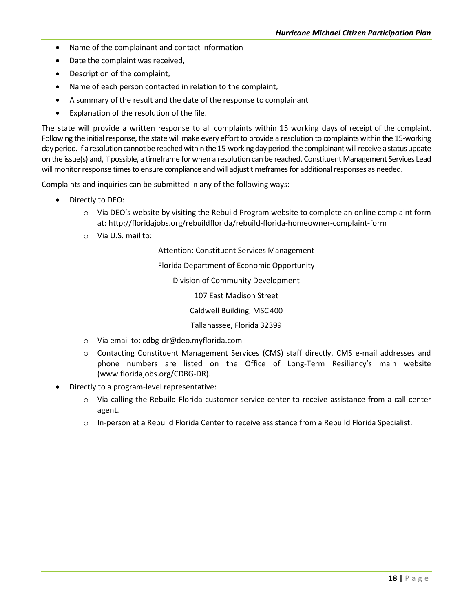- Name of the complainant and contact information
- Date the complaint was received,
- Description of the complaint,
- Name of each person contacted in relation to the complaint,
- A summary of the result and the date of the response to complainant
- Explanation of the resolution of the file.

The state will provide a written response to all complaints within 15 working days of receipt of the complaint. Following the initial response, the state will make every effort to provide a resolution to complaints within the 15-working day period. If a resolution cannot be reached within the 15-working day period, the complainant will receive a status update on the issue(s) and, if possible, a timeframe for when a resolution can be reached. Constituent Management Services Lead will monitor response times to ensure compliance and will adjust timeframes for additional responses as needed.

Complaints and inquiries can be submitted in any of the following ways:

- Directly to DEO:
	- o Via DEO's website by visiting the Rebuild Program website to complete an online complaint form at:<http://floridajobs.org/rebuildflorida/rebuild-florida-homeowner-complaint-form>
	- o Via U.S. mail to:

Attention: Constituent Services Management Florida Department of Economic Opportunity Division of Community Development 107 East Madison Street Caldwell Building, MSC400 Tallahassee, Florida 32399

- o Via email to[: cdbg-dr@deo.myflorida.com](mailto:cdbg-dr@deo.myflorida.com)
- o Contacting Constituent Management Services (CMS) staff directly. CMS e-mail addresses and phone numbers are listed on the Office of Long-Term Resiliency's main website [\(www.floridajobs.org/CDBG-DR\)](http://www.floridajobs.org/CDBG-DR).
- Directly to a program-level representative:
	- o Via calling the Rebuild Florida customer service center to receive assistance from a call center agent.
	- o In-person at a Rebuild Florida Center to receive assistance from a Rebuild Florida Specialist.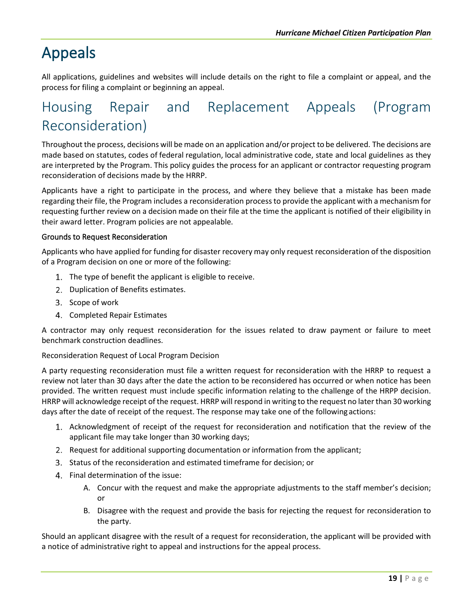# <span id="page-19-0"></span>Appeals

All applications, guidelines and websites will include details on the right to file a complaint or appeal, and the process for filing a complaint or beginning an appeal.

### <span id="page-19-1"></span>Housing Repair and Replacement Appeals (Program Reconsideration)

Throughout the process, decisions will be made on an application and/or project to be delivered. The decisions are made based on statutes, codes of federal regulation, local administrative code, state and local guidelines as they are interpreted by the Program. This policy guides the process for an applicant or contractor requesting program reconsideration of decisions made by the HRRP.

Applicants have a right to participate in the process, and where they believe that a mistake has been made regarding their file, the Program includes a reconsideration process to provide the applicant with a mechanism for requesting further review on a decision made on their file at the time the applicant is notified of their eligibility in their award letter. Program policies are not appealable.

#### Grounds to Request Reconsideration

Applicants who have applied for funding for disaster recovery may only request reconsideration of the disposition of a Program decision on one or more of the following:

- 1. The type of benefit the applicant is eligible to receive.
- 2. Duplication of Benefits estimates.
- 3. Scope of work
- 4. Completed Repair Estimates

A contractor may only request reconsideration for the issues related to draw payment or failure to meet benchmark construction deadlines.

#### Reconsideration Request of Local Program Decision

A party requesting reconsideration must file a written request for reconsideration with the HRRP to request a review not later than 30 days after the date the action to be reconsidered has occurred or when notice has been provided. The written request must include specific information relating to the challenge of the HRPP decision. HRRP will acknowledge receipt of the request. HRRP will respond in writing to the request no laterthan 30 working days after the date of receipt of the request. The response may take one of the following actions:

- 1. Acknowledgment of receipt of the request for reconsideration and notification that the review of the applicant file may take longer than 30 working days;
- 2. Request for additional supporting documentation or information from the applicant;
- Status of the reconsideration and estimated timeframe for decision; or
- 4. Final determination of the issue:
	- A. Concur with the request and make the appropriate adjustments to the staff member's decision; or
	- B. Disagree with the request and provide the basis for rejecting the request for reconsideration to the party.

Should an applicant disagree with the result of a request for reconsideration, the applicant will be provided with a notice of administrative right to appeal and instructions for the appeal process.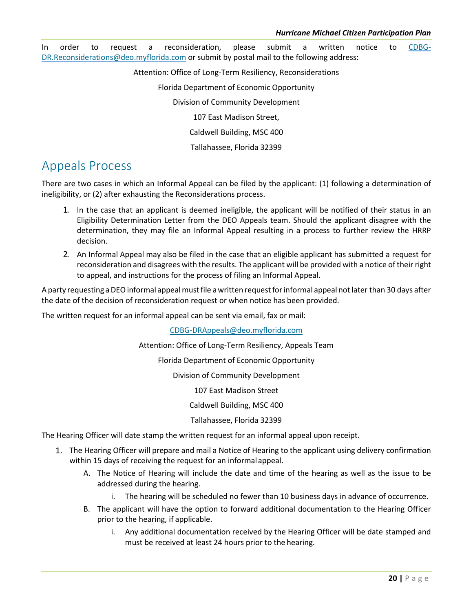In order to request a reconsideration, please submit a written notice to [CDBG-](mailto:CDBG-DR.Reconsiderations@deo.myflorida.com)[DR.Reconsiderations@deo.myflorida.com](mailto:CDBG-DR.Reconsiderations@deo.myflorida.com) or submit by postal mail to the following address:

Attention: Office of Long-Term Resiliency, Reconsiderations

Florida Department of Economic Opportunity

Division of Community Development

107 East Madison Street,

Caldwell Building, MSC 400

Tallahassee, Florida 32399

### <span id="page-20-0"></span>Appeals Process

There are two cases in which an Informal Appeal can be filed by the applicant: (1) following a determination of ineligibility, or (2) after exhausting the Reconsiderations process.

- 1. In the case that an applicant is deemed ineligible, the applicant will be notified of their status in an Eligibility Determination Letter from the DEO Appeals team. Should the applicant disagree with the determination, they may file an Informal Appeal resulting in a process to further review the HRRP decision.
- 2. An Informal Appeal may also be filed in the case that an eligible applicant has submitted a request for reconsideration and disagrees with the results. The applicant will be provided with a notice of their right to appeal, and instructions for the process of filing an Informal Appeal.

A party requesting a DEO informal appeal must file a written request for informal appeal not later than 30 days after the date of the decision of reconsideration request or when notice has been provided.

The written request for an informal appeal can be sent via email, fax or mail:

[CDBG-DRAppeals@deo.myflorida.com](mailto:CDBG-DRAppeals@deo.myflorida.com)

Attention: Office of Long-Term Resiliency, Appeals Team

Florida Department of Economic Opportunity

Division of Community Development

107 East Madison Street

Caldwell Building, MSC 400

Tallahassee, Florida 32399

The Hearing Officer will date stamp the written request for an informal appeal upon receipt.

- The Hearing Officer will prepare and mail a Notice of Hearing to the applicant using delivery confirmation within 15 days of receiving the request for an informal appeal.
	- A. The Notice of Hearing will include the date and time of the hearing as well as the issue to be addressed during the hearing.
		- i. The hearing will be scheduled no fewer than 10 business days in advance of occurrence.
	- B. The applicant will have the option to forward additional documentation to the Hearing Officer prior to the hearing, if applicable.
		- i. Any additional documentation received by the Hearing Officer will be date stamped and must be received at least 24 hours prior to the hearing.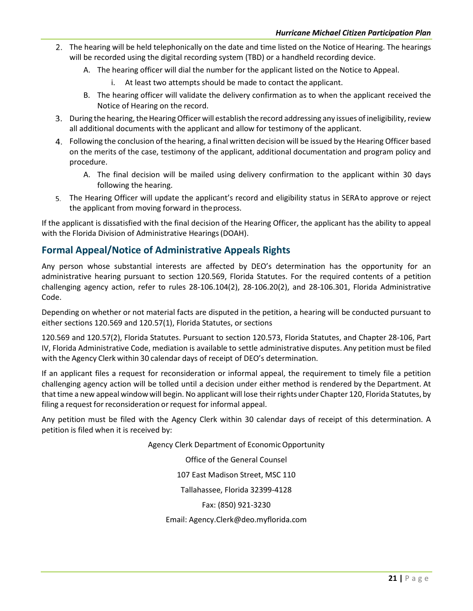- The hearing will be held telephonically on the date and time listed on the Notice of Hearing. The hearings will be recorded using the digital recording system (TBD) or a handheld recording device.
	- A. The hearing officer will dial the number for the applicant listed on the Notice to Appeal.
		- i. At least two attempts should be made to contact the applicant.
	- B. The hearing officer will validate the delivery confirmation as to when the applicant received the Notice of Hearing on the record.
- 3. During the hearing, the Hearing Officer will establish the record addressing any issues of ineligibility, review all additional documents with the applicant and allow for testimony of the applicant.
- Following the conclusion of the hearing, a final written decision will be issued by the Hearing Officer based on the merits of the case, testimony of the applicant, additional documentation and program policy and procedure.
	- A. The final decision will be mailed using delivery confirmation to the applicant within 30 days following the hearing.
- The Hearing Officer will update the applicant's record and eligibility status in SERAto approve or reject the applicant from moving forward in theprocess.

If the applicant is dissatisfied with the final decision of the Hearing Officer, the applicant has the ability to appeal with the Florida Division of Administrative Hearings(DOAH).

#### **Formal Appeal/Notice of Administrative Appeals Rights**

Any person whose substantial interests are affected by DEO's determination has the opportunity for an administrative hearing pursuant to section 120.569, Florida Statutes. For the required contents of a petition challenging agency action, refer to rules 28-106.104(2), 28-106.20(2), and 28-106.301, Florida Administrative Code.

Depending on whether or not material facts are disputed in the petition, a hearing will be conducted pursuant to either sections 120.569 and 120.57(1), Florida Statutes, or sections

120.569 and 120.57(2), Florida Statutes. Pursuant to section 120.573, Florida Statutes, and Chapter 28-106, Part IV, Florida Administrative Code, mediation is available to settle administrative disputes. Any petition must be filed with the Agency Clerk within 30 calendar days of receipt of DEO's determination.

If an applicant files a request for reconsideration or informal appeal, the requirement to timely file a petition challenging agency action will be tolled until a decision under either method is rendered by the Department. At that time a new appeal window will begin. No applicant will lose their rights under Chapter 120, Florida Statutes, by filing a request for reconsideration or request for informal appeal.

Any petition must be filed with the Agency Clerk within 30 calendar days of receipt of this determination. A petition is filed when it is received by:

Agency Clerk Department of Economic Opportunity

Office of the General Counsel

107 East Madison Street, MSC 110

Tallahassee, Florida 32399-4128

Fax: (850) 921-3230

Email[: Agency.Clerk@deo.myflorida.com](mailto:Agency.Clerk@deo.myflorida.com)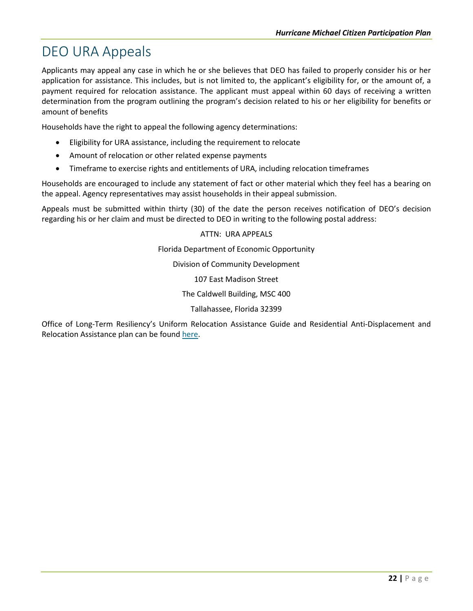### <span id="page-22-0"></span>DEO URA Appeals

Applicants may appeal any case in which he or she believes that DEO has failed to properly consider his or her application for assistance. This includes, but is not limited to, the applicant's eligibility for, or the amount of, a payment required for relocation assistance. The applicant must appeal within 60 days of receiving a written determination from the program outlining the program's decision related to his or her eligibility for benefits or amount of benefits

Households have the right to appeal the following agency determinations:

- Eligibility for URA assistance, including the requirement to relocate
- Amount of relocation or other related expense payments
- Timeframe to exercise rights and entitlements of URA, including relocation timeframes

Households are encouraged to include any statement of fact or other material which they feel has a bearing on the appeal. Agency representatives may assist households in their appeal submission.

Appeals must be submitted within thirty (30) of the date the person receives notification of DEO's decision regarding his or her claim and must be directed to DEO in writing to the following postal address:

> ATTN: URA APPEALS Florida Department of Economic Opportunity Division of Community Development 107 East Madison Street The Caldwell Building, MSC 400 Tallahassee, Florida 32399

Office of Long-Term Resiliency's Uniform Relocation Assistance Guide and Residential Anti-Displacement and Relocation Assistance plan can be found [here.](https://floridajobs.org/docs/default-source/office-of-disaster-recovery/office-of-disaster-recovery-main-page/master-v1-0-oltr-ura-rarap-(9-14-2021).pdf?sfvrsn=793b51b0_2)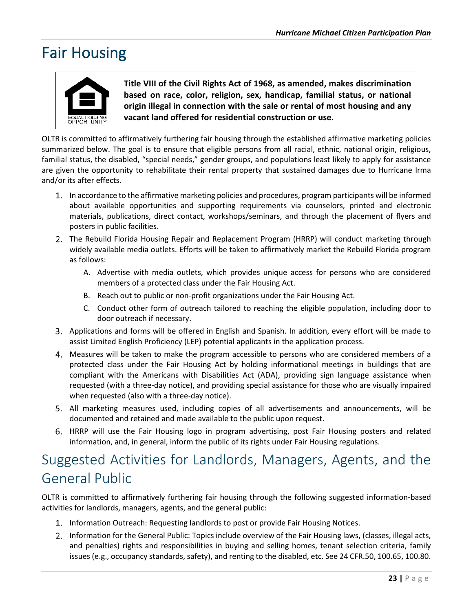# <span id="page-23-0"></span>Fair Housing



**Title VIII of the Civil Rights Act of 1968, as amended, makes discrimination based on race, color, religion, sex, handicap, familial status, or national origin illegal in connection with the sale or rental of most housing and any vacant land offered for residential construction or use.**

OLTR is committed to affirmatively furthering fair housing through the established affirmative marketing policies summarized below. The goal is to ensure that eligible persons from all racial, ethnic, national origin, religious, familial status, the disabled, "special needs," gender groups, and populations least likely to apply for assistance are given the opportunity to rehabilitate their rental property that sustained damages due to Hurricane Irma and/or its after effects.

- In accordance to the affirmative marketing policies and procedures, program participants will be informed about available opportunities and supporting requirements via counselors, printed and electronic materials, publications, direct contact, workshops/seminars, and through the placement of flyers and posters in public facilities.
- The Rebuild Florida Housing Repair and Replacement Program (HRRP) will conduct marketing through widely available media outlets. Efforts will be taken to affirmatively market the Rebuild Florida program as follows:
	- A. Advertise with media outlets, which provides unique access for persons who are considered members of a protected class under the Fair Housing Act.
	- B. Reach out to public or non-profit organizations under the Fair Housing Act.
	- C. Conduct other form of outreach tailored to reaching the eligible population, including door to door outreach if necessary.
- 3. Applications and forms will be offered in English and Spanish. In addition, every effort will be made to assist Limited English Proficiency (LEP) potential applicants in the application process.
- Measures will be taken to make the program accessible to persons who are considered members of a protected class under the Fair Housing Act by holding informational meetings in buildings that are compliant with the Americans with Disabilities Act (ADA), providing sign language assistance when requested (with a three-day notice), and providing special assistance for those who are visually impaired when requested (also with a three-day notice).
- All marketing measures used, including copies of all advertisements and announcements, will be documented and retained and made available to the public upon request.
- HRRP will use the Fair Housing logo in program advertising, post Fair Housing posters and related information, and, in general, inform the public of its rights under Fair Housing regulations.

### <span id="page-23-1"></span>Suggested Activities for Landlords, Managers, Agents, and the General Public

OLTR is committed to affirmatively furthering fair housing through the following suggested information-based activities for landlords, managers, agents, and the general public:

- 1. Information Outreach: Requesting landlords to post or provide Fair Housing Notices.
- 2. Information for the General Public: Topics include overview of the Fair Housing laws, (classes, illegal acts, and penalties) rights and responsibilities in buying and selling homes, tenant selection criteria, family issues (e.g., occupancy standards, safety), and renting to the disabled, etc. See 24 CFR.50, 100.65, 100.80.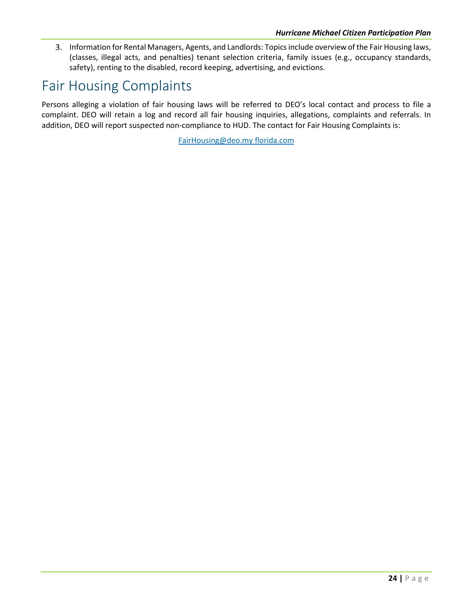Information for Rental Managers, Agents, and Landlords: Topics include overview of the Fair Housing laws, (classes, illegal acts, and penalties) tenant selection criteria, family issues (e.g., occupancy standards, safety), renting to the disabled, record keeping, advertising, and evictions.

### <span id="page-24-0"></span>Fair Housing Complaints

Persons alleging a violation of fair housing laws will be referred to DEO's local contact and process to file a complaint. DEO will retain a log and record all fair housing inquiries, allegations, complaints and referrals. In addition, DEO will report suspected non-compliance to HUD. The contact for Fair Housing Complaints is:

[FairHousing@deo.my f](mailto:FairHousing@deo.my)lorida.com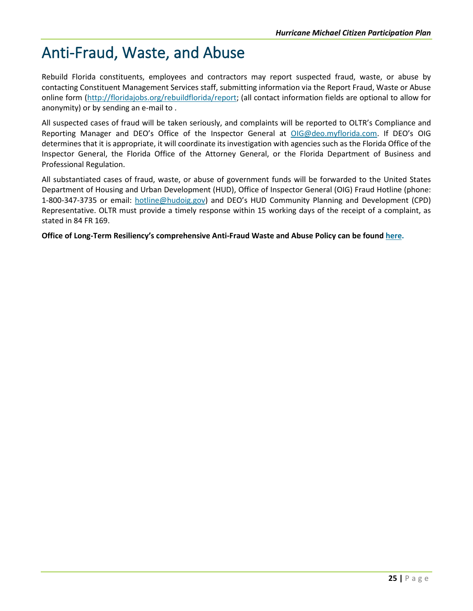# <span id="page-25-0"></span>Anti-Fraud, Waste, and Abuse

Rebuild Florida constituents, employees and contractors may report suspected fraud, waste, or abuse by contacting Constituent Management Services staff, submitting information via the Report Fraud, Waste or Abuse online form [\(http://floridajobs.org/rebuildflorida/report;](http://floridajobs.org/rebuildflorida/report) (all contact information fields are optional to allow for anonymity) or by sending an e-mail to .

All suspected cases of fraud will be taken seriously, and complaints will be reported to OLTR's Compliance and Reporting Manager and DEO's Office of the Inspector General at [OIG@deo.myflorida.com.](https://sharepoint.deo.myflorida.com/sites/RebuildFlorida/Shared%20Documents/Finance%20&%20Administration/Policy/Hurricane%20Michael/Michael%20Citizen%20Participation%20Plan/OIG@deo.myflorida.com) If DEO's OIG determines that it is appropriate, it will coordinate its investigation with agencies such as the Florida Office of the Inspector General, the Florida Office of the Attorney General, or the Florida Department of Business and Professional Regulation.

All substantiated cases of fraud, waste, or abuse of government funds will be forwarded to the United States Department of Housing and Urban Development (HUD), Office of Inspector General (OIG) Fraud Hotline (phone: 1-800-347-3735 or email: [hotline@hudoig.gov\)](mailto:hotline@hudoig.gov) and DEO's HUD Community Planning and Development (CPD) Representative. OLTR must provide a timely response within 15 working days of the receipt of a complaint, as stated in 84 FR 169.

**Office of Long-Term Resiliency's comprehensive Anti-Fraud Waste and Abuse Policy can be found [here.](http://www.floridajobs.org/docs/default-source/office-of-disaster-recovery/office-of-disaster-recovery-main-page/afwa-policy_updated-3-30-21.pdf?sfvrsn=20e441b0_8)**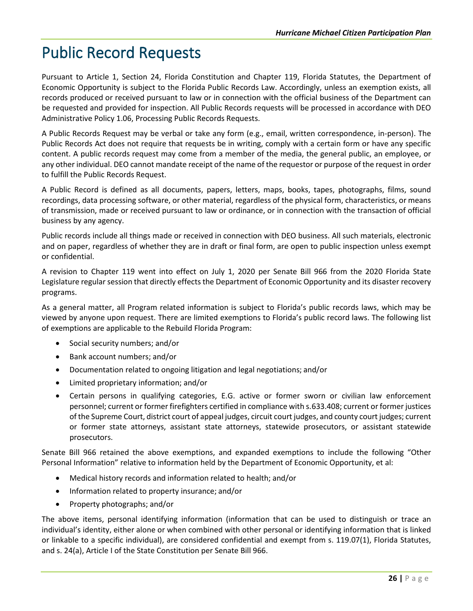# <span id="page-26-0"></span>Public Record Requests

Pursuant to Article 1, Section 24, Florida Constitution and Chapter 119, Florida Statutes, the Department of Economic Opportunity is subject to the Florida Public Records Law. Accordingly, unless an exemption exists, all records produced or received pursuant to law or in connection with the official business of the Department can be requested and provided for inspection. All Public Records requests will be processed in accordance with DEO Administrative Policy 1.06, Processing Public Records Requests.

A Public Records Request may be verbal or take any form (e.g., email, written correspondence, in-person). The Public Records Act does not require that requests be in writing, comply with a certain form or have any specific content. A public records request may come from a member of the media, the general public, an employee, or any other individual. DEO cannot mandate receipt of the name of the requestor or purpose of the request in order to fulfill the Public Records Request.

A Public Record is defined as all documents, papers, letters, maps, books, tapes, photographs, films, sound recordings, data processing software, or other material, regardless of the physical form, characteristics, or means of transmission, made or received pursuant to law or ordinance, or in connection with the transaction of official business by any agency.

Public records include all things made or received in connection with DEO business. All such materials, electronic and on paper, regardless of whether they are in draft or final form, are open to public inspection unless exempt or confidential.

A revision to Chapter 119 went into effect on July 1, 2020 per Senate Bill 966 from the 2020 Florida State Legislature regular session that directly effects the Department of Economic Opportunity and its disaster recovery programs.

As a general matter, all Program related information is subject to Florida's public records laws, which may be viewed by anyone upon request. There are limited exemptions to Florida's public record laws. The following list of exemptions are applicable to the Rebuild Florida Program:

- Social security numbers; and/or
- Bank account numbers; and/or
- Documentation related to ongoing litigation and legal negotiations; and/or
- Limited proprietary information; and/or
- Certain persons in qualifying categories, E.G. active or former sworn or civilian law enforcement personnel; current or former firefighters certified in compliance with s.633.408; current or former justices of the Supreme Court, district court of appeal judges, circuit court judges, and county court judges; current or former state attorneys, assistant state attorneys, statewide prosecutors, or assistant statewide prosecutors.

Senate Bill 966 retained the above exemptions, and expanded exemptions to include the following "Other Personal Information" relative to information held by the Department of Economic Opportunity, et al:

- Medical history records and information related to health; and/or
- Information related to property insurance; and/or
- Property photographs; and/or

The above items, personal identifying information (information that can be used to distinguish or trace an individual's identity, either alone or when combined with other personal or identifying information that is linked or linkable to a specific individual), are considered confidential and exempt from s. 119.07(1), Florida Statutes, and s. 24(a), Article I of the State Constitution per Senate Bill 966.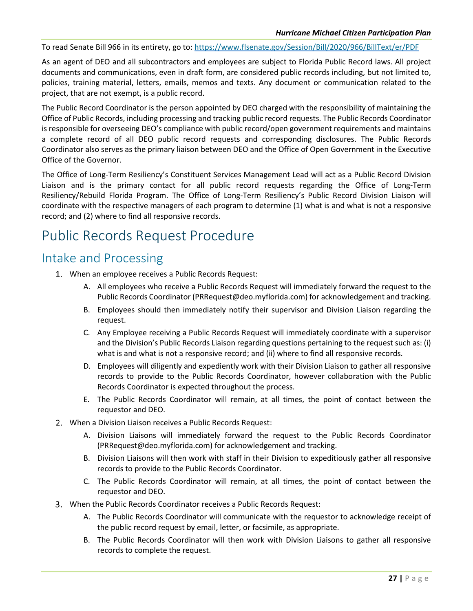To read Senate Bill 966 in its entirety, go to:<https://www.flsenate.gov/Session/Bill/2020/966/BillText/er/PDF>

As an agent of DEO and all subcontractors and employees are subject to Florida Public Record laws. All project documents and communications, even in draft form, are considered public records including, but not limited to, policies, training material, letters, emails, memos and texts. Any document or communication related to the project, that are not exempt, is a public record.

The Public Record Coordinator is the person appointed by DEO charged with the responsibility of maintaining the Office of Public Records, including processing and tracking public record requests. The Public Records Coordinator is responsible for overseeing DEO's compliance with public record/open government requirements and maintains a complete record of all DEO public record requests and corresponding disclosures. The Public Records Coordinator also serves as the primary liaison between DEO and the Office of Open Government in the Executive Office of the Governor.

The Office of Long-Term Resiliency's Constituent Services Management Lead will act as a Public Record Division Liaison and is the primary contact for all public record requests regarding the Office of Long-Term Resiliency/Rebuild Florida Program. The Office of Long-Term Resiliency's Public Record Division Liaison will coordinate with the respective managers of each program to determine (1) what is and what is not a responsive record; and (2) where to find all responsive records.

### <span id="page-27-0"></span>Public Records Request Procedure

### <span id="page-27-1"></span>Intake and Processing

- When an employee receives a Public Records Request:
	- A. All employees who receive a Public Records Request will immediately forward the request to the Public Records Coordinator (PRRequest@deo.myflorida.com) for acknowledgement and tracking.
	- B. Employees should then immediately notify their supervisor and Division Liaison regarding the request.
	- C. Any Employee receiving a Public Records Request will immediately coordinate with a supervisor and the Division's Public Records Liaison regarding questions pertaining to the request such as: (i) what is and what is not a responsive record; and (ii) where to find all responsive records.
	- D. Employees will diligently and expediently work with their Division Liaison to gather all responsive records to provide to the Public Records Coordinator, however collaboration with the Public Records Coordinator is expected throughout the process.
	- E. The Public Records Coordinator will remain, at all times, the point of contact between the requestor and DEO.
- When a Division Liaison receives a Public Records Request:
	- A. Division Liaisons will immediately forward the request to the Public Records Coordinator (PRRequest@deo.myflorida.com) for acknowledgement and tracking.
	- B. Division Liaisons will then work with staff in their Division to expeditiously gather all responsive records to provide to the Public Records Coordinator.
	- C. The Public Records Coordinator will remain, at all times, the point of contact between the requestor and DEO.
- When the Public Records Coordinator receives a Public Records Request:
	- A. The Public Records Coordinator will communicate with the requestor to acknowledge receipt of the public record request by email, letter, or facsimile, as appropriate.
	- B. The Public Records Coordinator will then work with Division Liaisons to gather all responsive records to complete the request.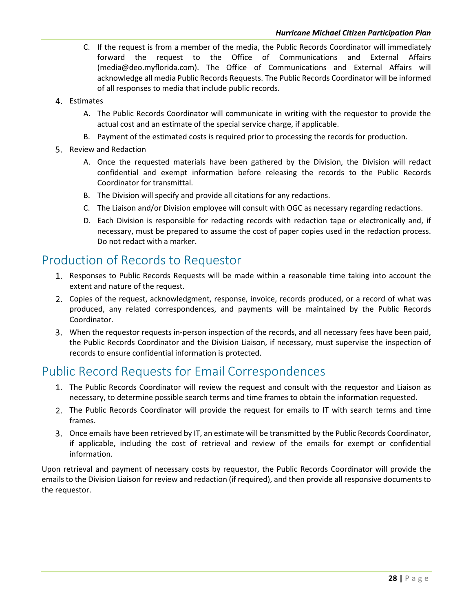- C. If the request is from a member of the media, the Public Records Coordinator will immediately forward the request to the Office of Communications and External Affairs (media@deo.myflorida.com). The Office of Communications and External Affairs will acknowledge all media Public Records Requests. The Public Records Coordinator will be informed of all responses to media that include public records.
- 4. Estimates
	- A. The Public Records Coordinator will communicate in writing with the requestor to provide the actual cost and an estimate of the special service charge, if applicable.
	- B. Payment of the estimated costs is required prior to processing the records for production.
- 5. Review and Redaction
	- A. Once the requested materials have been gathered by the Division, the Division will redact confidential and exempt information before releasing the records to the Public Records Coordinator for transmittal.
	- B. The Division will specify and provide all citations for any redactions.
	- C. The Liaison and/or Division employee will consult with OGC as necessary regarding redactions.
	- D. Each Division is responsible for redacting records with redaction tape or electronically and, if necessary, must be prepared to assume the cost of paper copies used in the redaction process. Do not redact with a marker.

### <span id="page-28-0"></span>Production of Records to Requestor

- 1. Responses to Public Records Requests will be made within a reasonable time taking into account the extent and nature of the request.
- Copies of the request, acknowledgment, response, invoice, records produced, or a record of what was produced, any related correspondences, and payments will be maintained by the Public Records Coordinator.
- When the requestor requests in-person inspection of the records, and all necessary fees have been paid, the Public Records Coordinator and the Division Liaison, if necessary, must supervise the inspection of records to ensure confidential information is protected.

### <span id="page-28-1"></span>Public Record Requests for Email Correspondences

- The Public Records Coordinator will review the request and consult with the requestor and Liaison as necessary, to determine possible search terms and time frames to obtain the information requested.
- The Public Records Coordinator will provide the request for emails to IT with search terms and time frames.
- Once emails have been retrieved by IT, an estimate will be transmitted by the Public Records Coordinator, if applicable, including the cost of retrieval and review of the emails for exempt or confidential information.

Upon retrieval and payment of necessary costs by requestor, the Public Records Coordinator will provide the emails to the Division Liaison for review and redaction (if required), and then provide all responsive documents to the requestor.